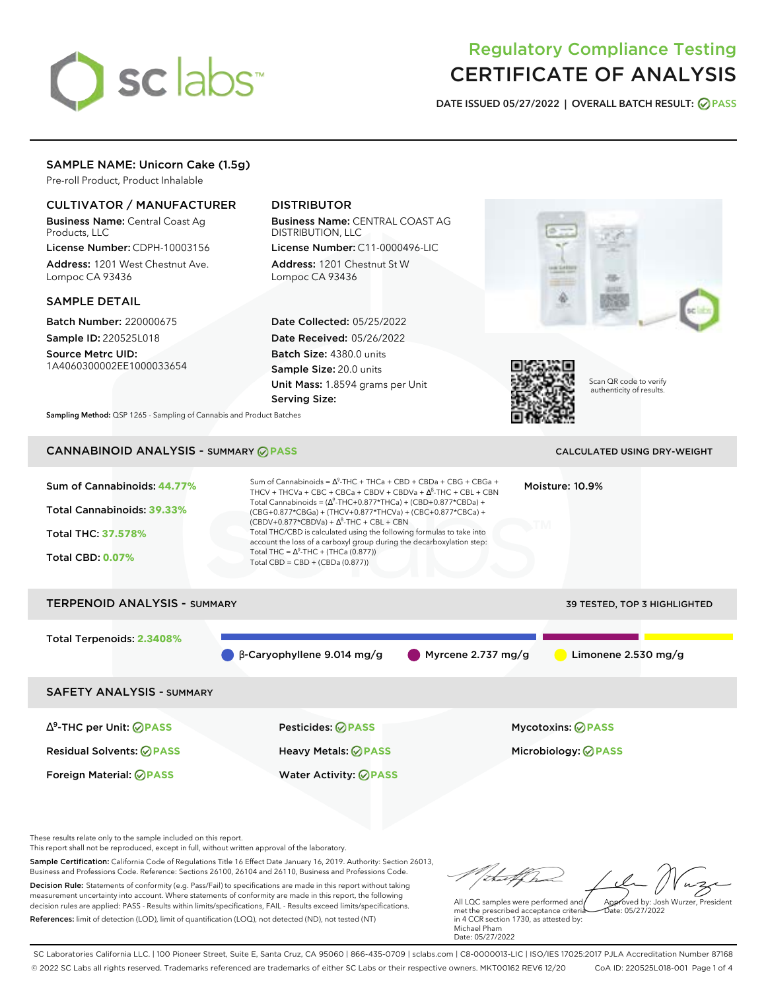# sclabs<sup>\*</sup>

# Regulatory Compliance Testing CERTIFICATE OF ANALYSIS

**DATE ISSUED 05/27/2022 | OVERALL BATCH RESULT: PASS**

# SAMPLE NAME: Unicorn Cake (1.5g)

Pre-roll Product, Product Inhalable

# CULTIVATOR / MANUFACTURER

Business Name: Central Coast Ag Products, LLC

License Number: CDPH-10003156 Address: 1201 West Chestnut Ave. Lompoc CA 93436

## SAMPLE DETAIL

Batch Number: 220000675 Sample ID: 220525L018

Source Metrc UID: 1A4060300002EE1000033654

# DISTRIBUTOR

Business Name: CENTRAL COAST AG DISTRIBUTION, LLC License Number: C11-0000496-LIC

Address: 1201 Chestnut St W Lompoc CA 93436

Date Collected: 05/25/2022 Date Received: 05/26/2022 Batch Size: 4380.0 units Sample Size: 20.0 units Unit Mass: 1.8594 grams per Unit Serving Size:





Scan QR code to verify authenticity of results.

**Sampling Method:** QSP 1265 - Sampling of Cannabis and Product Batches

# **CANNABINOID ANALYSIS - SUMMARY @ PASS** CALCULATED USING DRY-WEIGHT

Sum of Cannabinoids: **44.77%** Total Cannabinoids: **39.33%** Total THC: **37.578%** Total CBD: **0.07%** Sum of Cannabinoids =  $\Delta^9$ -THC + THCa + CBD + CBDa + CBG + CBGa + THCV + THCVa + CBC + CBCa + CBDV + CBDVa +  $\Delta^8$ -THC + CBL + CBN Total Cannabinoids = ( $\Delta^9$ -THC+0.877\*THCa) + (CBD+0.877\*CBDa) + (CBG+0.877\*CBGa) + (THCV+0.877\*THCVa) + (CBC+0.877\*CBCa) +  $(CBDV+0.877*CBDVa) + \Delta^8$ -THC + CBL + CBN Total THC/CBD is calculated using the following formulas to take into account the loss of a carboxyl group during the decarboxylation step: Total THC =  $\Delta^9$ -THC + (THCa (0.877)) Total CBD = CBD + (CBDa (0.877)) Moisture: 10.9% TERPENOID ANALYSIS - SUMMARY 39 TESTED, TOP 3 HIGHLIGHTED Total Terpenoids: **2.3408%**  $\bullet$  β-Caryophyllene 9.014 mg/g  $\bullet$  Myrcene 2.737 mg/g  $\bullet$  Limonene 2.530 mg/g

SAFETY ANALYSIS - SUMMARY

Residual Solvents: **PASS** Heavy Metals: **PASS** Microbiology: **PASS**

∆ 9 -THC per Unit: **PASS** Pesticides: **PASS** Mycotoxins: **PASS**

Foreign Material: **PASS** Water Activity: **PASS**

These results relate only to the sample included on this report.

This report shall not be reproduced, except in full, without written approval of the laboratory.

Sample Certification: California Code of Regulations Title 16 Effect Date January 16, 2019. Authority: Section 26013, Business and Professions Code. Reference: Sections 26100, 26104 and 26110, Business and Professions Code. Decision Rule: Statements of conformity (e.g. Pass/Fail) to specifications are made in this report without taking measurement uncertainty into account. Where statements of conformity are made in this report, the following decision rules are applied: PASS - Results within limits/specifications, FAIL - Results exceed limits/specifications.

References: limit of detection (LOD), limit of quantification (LOQ), not detected (ND), not tested (NT)

Approved by: Josh Wurzer, President

 $hat: 05/27/2022$ 

All LQC samples were performed and met the prescribed acceptance criteria in 4 CCR section 1730, as attested by: Michael Pham Date: 05/27/2022

SC Laboratories California LLC. | 100 Pioneer Street, Suite E, Santa Cruz, CA 95060 | 866-435-0709 | sclabs.com | C8-0000013-LIC | ISO/IES 17025:2017 PJLA Accreditation Number 87168 © 2022 SC Labs all rights reserved. Trademarks referenced are trademarks of either SC Labs or their respective owners. MKT00162 REV6 12/20 CoA ID: 220525L018-001 Page 1 of 4